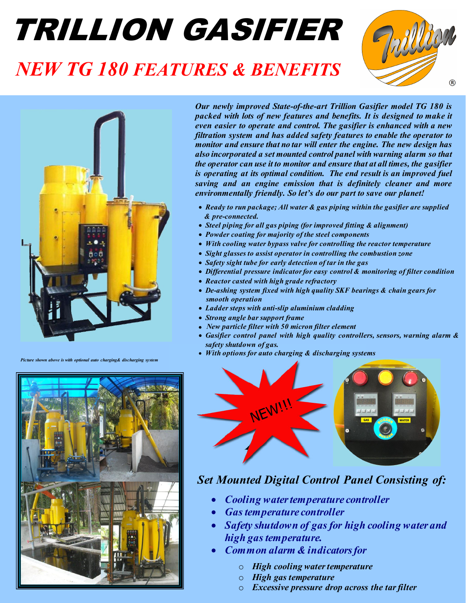# TRILLION GASIFIER

### *NEW TG 180 FEATURES & BENEFITS*





*Picture shown above is with optional auto charging& discharging system* 



*Our newly improved State-of-the-art Trillion Gasifier model TG 180 is packed with lots of new features and benefits. It is designed to make it even easier to operate and control. The gasifier is enhanced with a new filtration system and has added safety features to enable the operator to monitor and ensure that no tar will enter the engine. The new design has also incorporated a set mounted control panel with warning alarm so that the operator can use it to monitor and ensure that at all times, the gasifier is operating at its optimal condition. The end result is an improved fuel saving and an engine emission that is definitely cleaner and more environmentally friendly. So let's do our part to save our planet!* 

- *Ready to run package; All water & gas piping within the gasifier are supplied & pre-connected.*
- *Steel piping for all gas piping (for improved fitting & alignment)*
- *Powder coating for majority of the steel components*
- *With cooling water bypass valve for controlling the reactor temperature*
- *Sight glasses to assist operator in controlling the combustion zone*
- *Safety sight tube for early detection of tar in the gas*
- *Differential pressure indicator for easy control & monitoring of filter condition*
- *Reactor casted with high grade refractory*
- *De-ashing system fixed with high quality SKF bearings & chain gears for smooth operation*
- *Ladder steps with anti-slip aluminium cladding*
- *Strong angle bar support frame*
- *New particle filter with 50 micron filter element*
- *Gasifier control panel with high quality controllers, sensors, warning alarm & safety shutdown of gas.*
- *With options for auto charging & discharging systems*



#### *Set Mounted Digital Control Panel Consisting of:*

- *Cooling water temperature controller*
- *Gas temperature controller*
- *Safety shutdown of gas for high cooling water and high gas temperature.*
- *Common alarm & indicators for* 
	- o *High cooling water temperature*
	- o *High gas temperature*
	- o *Excessive pressure drop across the tar filter*